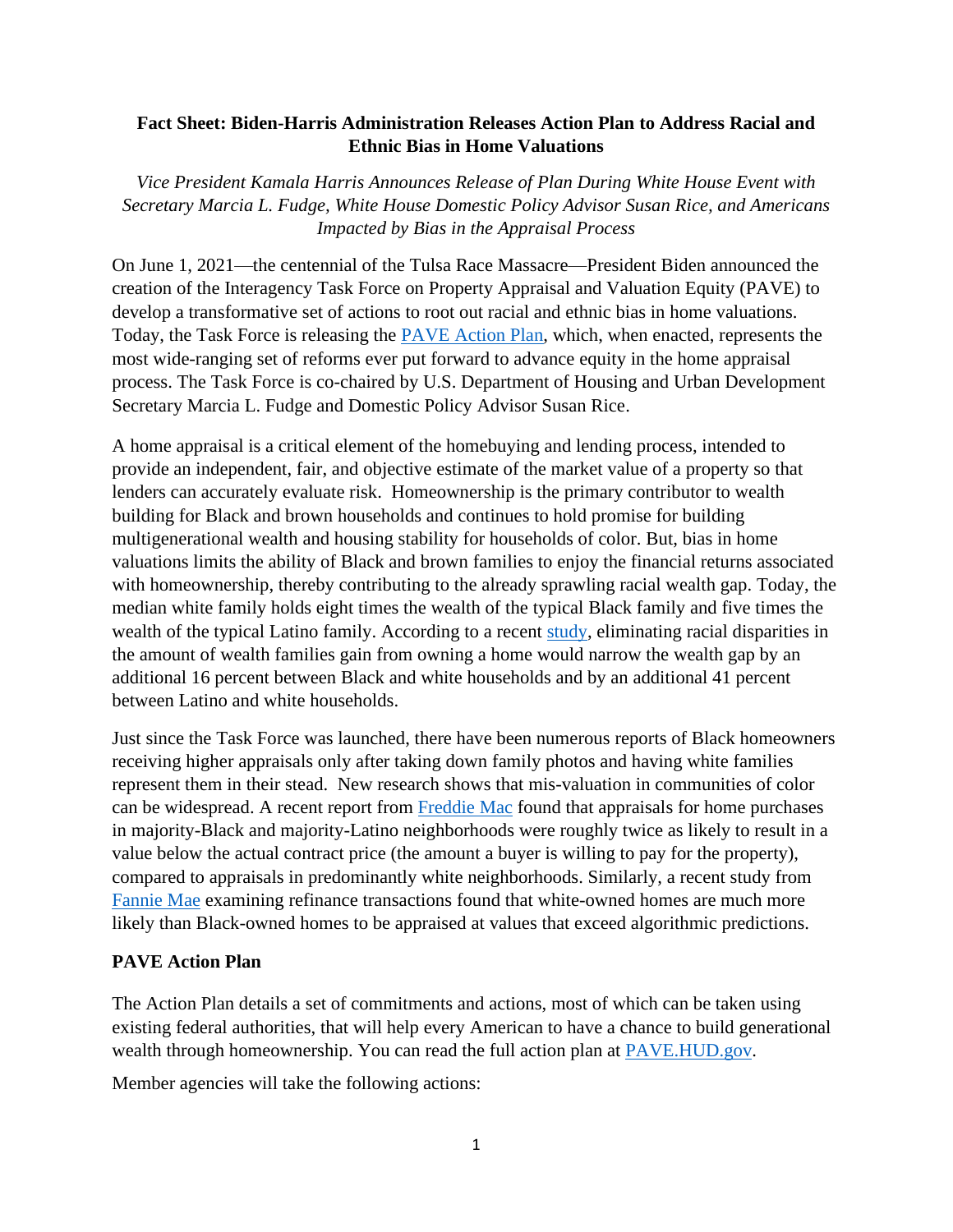## **Fact Sheet: Biden-Harris Administration Releases Action Plan to Address Racial and Ethnic Bias in Home Valuations**

*Vice President Kamala Harris Announces Release of Plan During White House Event with Secretary Marcia L. Fudge, White House Domestic Policy Advisor Susan Rice, and Americans Impacted by Bias in the Appraisal Process* 

 process. The Task Force is co-chaired by U.S. Department of Housing and Urban Development On June 1, 2021—the centennial of the Tulsa Race Massacre—President Biden announced the creation of the Interagency Task Force on Property Appraisal and Valuation Equity (PAVE) to develop a transformative set of actions to root out racial and ethnic bias in home valuations. Today, the Task Force is releasing the [PAVE Action Plan,](https://pave.hud.gov/actionplan) which, when enacted, represents the most wide-ranging set of reforms ever put forward to advance equity in the home appraisal Secretary Marcia L. Fudge and Domestic Policy Advisor Susan Rice.

A home appraisal is a critical element of the homebuying and lending process, intended to provide an independent, fair, and objective estimate of the market value of a property so that lenders can accurately evaluate risk. Homeownership is the primary contributor to wealth building for Black and brown households and continues to hold promise for building multigenerational wealth and housing stability for households of color. But, bias in home valuations limits the ability of Black and brown families to enjoy the financial returns associated with homeownership, thereby contributing to the already sprawling racial wealth gap. Today, the median white family holds eight times the wealth of the typical Black family and five times the wealth of the typical Latino family. According to a recent [study,](http://racialwealthaudit.org/downloads/RacialWealthGap.pdf) eliminating racial disparities in the amount of wealth families gain from owning a home would narrow the wealth gap by an additional 16 percent between Black and white households and by an additional 41 percent between Latino and white households.

Just since the Task Force was launched, there have been numerous reports of Black homeowners receiving higher appraisals only after taking down family photos and having white families represent them in their stead. New research shows that mis-valuation in communities of color can be widespread. A recent report from [Freddie Mac](https://www.freddiemac.com/research/insight/20210920-home-appraisals) found that appraisals for home purchases in majority-Black and majority-Latino neighborhoods were roughly twice as likely to result in a value below the actual contract price (the amount a buyer is willing to pay for the property), compared to appraisals in predominantly white neighborhoods. Similarly, a recent study from [Fannie Mae](https://www.fanniemae.com/research-and-insights/publications/appraising-the-appraisal) examining refinance transactions found that white-owned homes are much more likely than Black-owned homes to be appraised at values that exceed algorithmic predictions.

## **PAVE Action Plan**

The Action Plan details a set of commitments and actions, most of which can be taken using existing federal authorities, that will help every American to have a chance to build generational wealth through homeownership. You can read the full action plan at [PAVE.HUD.gov.](https://pave.hud.gov/)

Member agencies will take the following actions: